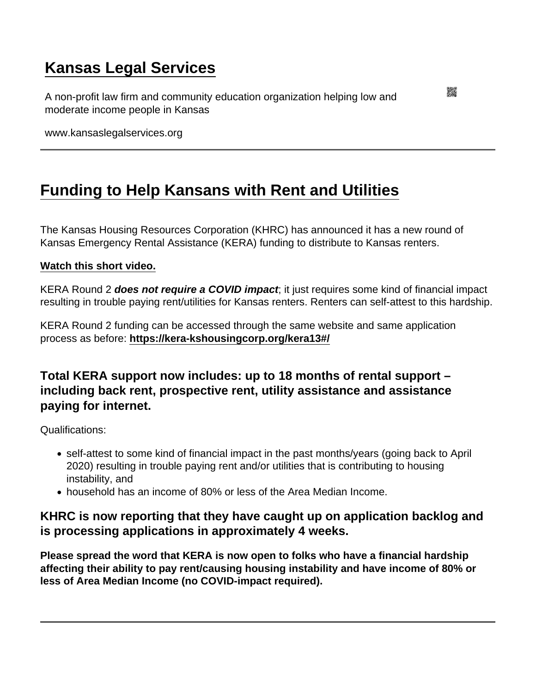## [Kansas Legal Services](https://www.kansaslegalservices.org/)

A non-profit law firm and community education organization helping low and moderate income people in Kansas

www.kansaslegalservices.org

## [Funding to Help Kansans with Rent and Utilities](https://www.kansaslegalservices.org/node/2507/funding-help-kansans-rent-and-utilities)

The Kansas Housing Resources Corporation (KHRC) has announced it has a new round of Kansas Emergency Rental Assistance (KERA) funding to distribute to Kansas renters.

## [Watch this short video.](https://youtu.be/RAGF8rmiO9k)

KERA Round 2 does not require a COVID impact ; it just requires some kind of financial impact resulting in trouble paying rent/utilities for Kansas renters. Renters can self-attest to this hardship.

KERA Round 2 funding can be accessed through the same website and same application process as before:<https://kera-kshousingcorp.org/kera13#/>

Total KERA support now includes: up to 18 months of rental support – including back rent, prospective rent, utility assistance and assistance paying for internet.

Qualifications:

- self-attest to some kind of financial impact in the past months/years (going back to April 2020) resulting in trouble paying rent and/or utilities that is contributing to housing instability, and
- household has an income of 80% or less of the Area Median Income.

KHRC is now reporting that they have caught up on application backlog and is processing applications in approximately 4 weeks.

Please spread the word that KERA is now open to folks who have a financial hardship affecting their ability to pay rent/causing housing instability and have income of 80% or less of Area Median Income (no COVID-impact required).